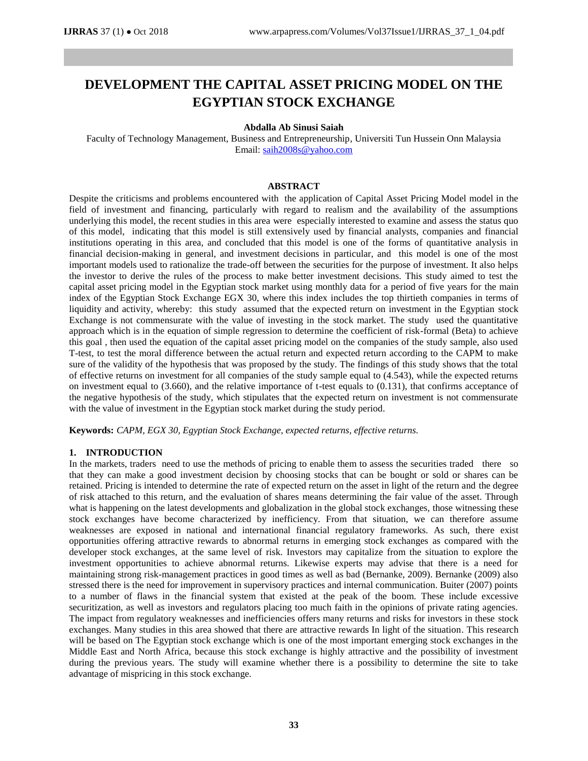# **DEVELOPMENT THE CAPITAL ASSET PRICING MODEL ON THE EGYPTIAN STOCK EXCHANGE**

## **Abdalla Ab Sinusi Saiah**

Faculty of Technology Management, Business and Entrepreneurship, Universiti Tun Hussein Onn Malaysia Email: [saih2008s@yahoo.com](mailto:saih2008s@yahoo.com)

## **ABSTRACT**

Despite the criticisms and problems encountered with the application of Capital Asset Pricing Model model in the field of investment and financing, particularly with regard to realism and the availability of the assumptions underlying this model, the recent studies in this area were especially interested to examine and assess the status quo of this model, indicating that this model is still extensively used by financial analysts, companies and financial institutions operating in this area, and concluded that this model is one of the forms of quantitative analysis in financial decision-making in general, and investment decisions in particular, and this model is one of the most important models used to rationalize the trade-off between the securities for the purpose of investment. It also helps the investor to derive the rules of the process to make better investment decisions. This study aimed to test the capital asset pricing model in the Egyptian stock market using monthly data for a period of five years for the main index of the Egyptian Stock Exchange EGX 30, where this index includes the top thirtieth companies in terms of liquidity and activity, whereby: this study assumed that the expected return on investment in the Egyptian stock Exchange is not commensurate with the value of investing in the stock market. The study used the quantitative approach which is in the equation of simple regression to determine the coefficient of risk-formal (Beta) to achieve this goal , then used the equation of the capital asset pricing model on the companies of the study sample, also used T-test, to test the moral difference between the actual return and expected return according to the CAPM to make sure of the validity of the hypothesis that was proposed by the study. The findings of this study shows that the total of effective returns on investment for all companies of the study sample equal to (4.543), while the expected returns on investment equal to (3.660), and the relative importance of t-test equals to (0.131), that confirms acceptance of the negative hypothesis of the study, which stipulates that the expected return on investment is not commensurate with the value of investment in the Egyptian stock market during the study period.

**Keywords:** *CAPM, EGX 30, Egyptian Stock Exchange, expected returns, effective returns.*

#### **1. INTRODUCTION**

In the markets, traders need to use the methods of pricing to enable them to assess the securities traded there so that they can make a good investment decision by choosing stocks that can be bought or sold or shares can be retained. Pricing is intended to determine the rate of expected return on the asset in light of the return and the degree of risk attached to this return, and the evaluation of shares means determining the fair value of the asset. Through what is happening on the latest developments and globalization in the global stock exchanges, those witnessing these stock exchanges have become characterized by inefficiency. From that situation, we can therefore assume weaknesses are exposed in national and international financial regulatory frameworks. As such, there exist opportunities offering attractive rewards to abnormal returns in emerging stock exchanges as compared with the developer stock exchanges, at the same level of risk. Investors may capitalize from the situation to explore the investment opportunities to achieve abnormal returns. Likewise experts may advise that there is a need for maintaining strong risk-management practices in good times as well as bad (Bernanke, 2009). Bernanke (2009) also stressed there is the need for improvement in supervisory practices and internal communication. Buiter (2007) points to a number of flaws in the financial system that existed at the peak of the boom. These include excessive securitization, as well as investors and regulators placing too much faith in the opinions of private rating agencies. The impact from regulatory weaknesses and inefficiencies offers many returns and risks for investors in these stock exchanges. Many studies in this area showed that there are attractive rewards In light of the situation. This research will be based on The Egyptian stock exchange which is one of the most important emerging stock exchanges in the Middle East and North Africa, because this stock exchange is highly attractive and the possibility of investment during the previous years. The study will examine whether there is a possibility to determine the site to take advantage of mispricing in this stock exchange.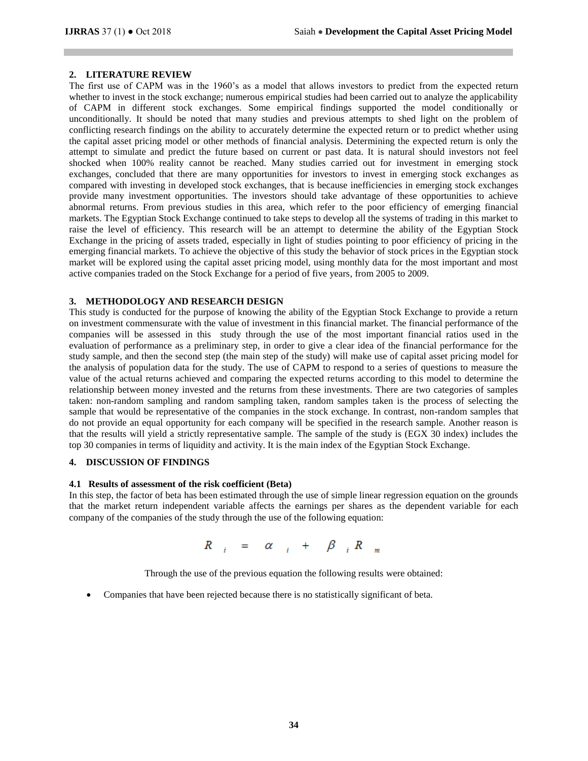## **2. LITERATURE REVIEW**

The first use of CAPM was in the 1960's as a model that allows investors to predict from the expected return whether to invest in the stock exchange; numerous empirical studies had been carried out to analyze the applicability of CAPM in different stock exchanges. Some empirical findings supported the model conditionally or unconditionally. It should be noted that many studies and previous attempts to shed light on the problem of conflicting research findings on the ability to accurately determine the expected return or to predict whether using the capital asset pricing model or other methods of financial analysis. Determining the expected return is only the attempt to simulate and predict the future based on current or past data. It is natural should investors not feel shocked when 100% reality cannot be reached. Many studies carried out for investment in emerging stock exchanges, concluded that there are many opportunities for investors to invest in emerging stock exchanges as compared with investing in developed stock exchanges, that is because inefficiencies in emerging stock exchanges provide many investment opportunities. The investors should take advantage of these opportunities to achieve abnormal returns. From previous studies in this area, which refer to the poor efficiency of emerging financial markets. The Egyptian Stock Exchange continued to take steps to develop all the systems of trading in this market to raise the level of efficiency. This research will be an attempt to determine the ability of the Egyptian Stock Exchange in the pricing of assets traded, especially in light of studies pointing to poor efficiency of pricing in the emerging financial markets. To achieve the objective of this study the behavior of stock prices in the Egyptian stock market will be explored using the capital asset pricing model, using monthly data for the most important and most active companies traded on the Stock Exchange for a period of five years, from 2005 to 2009.

# **3. METHODOLOGY AND RESEARCH DESIGN**

This study is conducted for the purpose of knowing the ability of the Egyptian Stock Exchange to provide a return on investment commensurate with the value of investment in this financial market. The financial performance of the companies will be assessed in this study through the use of the most important financial ratios used in the evaluation of performance as a preliminary step, in order to give a clear idea of the financial performance for the study sample, and then the second step (the main step of the study) will make use of capital asset pricing model for the analysis of population data for the study. The use of CAPM to respond to a series of questions to measure the value of the actual returns achieved and comparing the expected returns according to this model to determine the relationship between money invested and the returns from these investments. There are two categories of samples taken: non-random sampling and random sampling taken, random samples taken is the process of selecting the sample that would be representative of the companies in the stock exchange. In contrast, non-random samples that do not provide an equal opportunity for each company will be specified in the research sample. Another reason is that the results will yield a strictly representative sample. The sample of the study is (EGX 30 index) includes the top 30 companies in terms of liquidity and activity. It is the main index of the Egyptian Stock Exchange.

#### **4. DISCUSSION OF FINDINGS**

#### **4.1 Results of assessment of the risk coefficient (Beta)**

In this step, the factor of beta has been estimated through the use of simple linear regression equation on the grounds that the market return independent variable affects the earnings per shares as the dependent variable for each company of the companies of the study through the use of the following equation:

$$
R_{i} = \alpha_{i} + \beta_{i} R_{m}
$$

Through the use of the previous equation the following results were obtained:

Companies that have been rejected because there is no statistically significant of beta.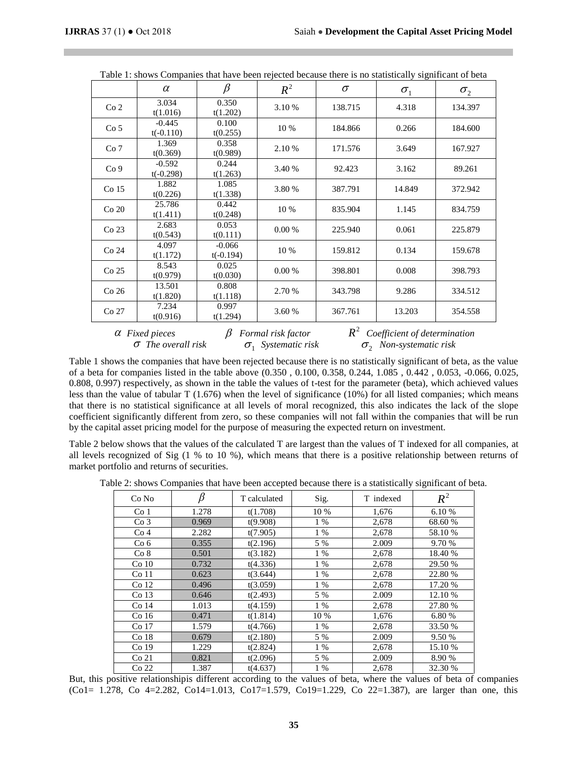|                  | $\alpha$                | $\beta$                 | $R^2$  | $\sigma$ | -0<br>$\sigma_{1}$ | $\sigma_{2}$ |
|------------------|-------------------------|-------------------------|--------|----------|--------------------|--------------|
| Co <sub>2</sub>  | 3.034<br>t(1.016)       | 0.350<br>t(1.202)       | 3.10 % | 138.715  | 4.318              | 134.397      |
| Co <sub>5</sub>  | $-0.445$<br>$t(-0.110)$ | 0.100<br>t(0.255)       | 10 %   | 184.866  | 0.266              | 184.600      |
| Co <sub>7</sub>  | 1.369<br>t(0.369)       | 0.358<br>t(0.989)       | 2.10 % | 171.576  | 3.649              | 167.927      |
| Co <sub>9</sub>  | $-0.592$<br>$t(-0.298)$ | 0.244<br>t(1.263)       | 3.40 % | 92.423   | 3.162              | 89.261       |
| Co 15            | 1.882<br>t(0.226)       | 1.085<br>t(1.338)       | 3.80 % | 387.791  | 14.849             | 372.942      |
| $Co$ $20$        | 25.786<br>t(1.411)      | 0.442<br>t(0.248)       | 10 %   | 835.904  | 1.145              | 834.759      |
| Co <sub>23</sub> | 2.683<br>t(0.543)       | 0.053<br>t(0.111)       | 0.00%  | 225.940  | 0.061              | 225.879      |
| Co 24            | 4.097<br>t(1.172)       | $-0.066$<br>$t(-0.194)$ | 10 %   | 159.812  | 0.134              | 159.678      |
| Co <sub>25</sub> | 8.543<br>t(0.979)       | 0.025<br>t(0.030)       | 0.00 % | 398.801  | 0.008              | 398.793      |
| Co <sub>26</sub> | 13.501<br>t(1.820)      | 0.808<br>t(1.118)       | 2.70 % | 343.798  | 9.286              | 334.512      |
| Co <sub>27</sub> | 7.234<br>t(0.916)       | 0.997<br>t(1.294)       | 3.60 % | 367.761  | 13.203             | 354.558      |

|  |  |  | Table 1: shows Companies that have been rejected because there is no statistically significant of beta |
|--|--|--|--------------------------------------------------------------------------------------------------------|
|  |  |  |                                                                                                        |

 $\alpha$  Fixed pieces  $\beta$  *Formal risk factor*  $\sigma$  *The overall risk*  $\sigma_1$  $\sigma_1$  Systematic risk <sup>2</sup> *R**Coefficient of determination*  $\sigma$ <sub>2</sub> *Non-systematic risk* 

Table 1 shows the companies that have been rejected because there is no statistically significant of beta, as the value of a beta for companies listed in the table above (0.350 , 0.100, 0.358, 0.244, 1.085 , 0.442 , 0.053, -0.066, 0.025, 0.808, 0.997) respectively, as shown in the table the values of t-test for the parameter (beta), which achieved values less than the value of tabular T (1.676) when the level of significance (10%) for all listed companies; which means that there is no statistical significance at all levels of moral recognized, this also indicates the lack of the slope coefficient significantly different from zero, so these companies will not fall within the companies that will be run by the capital asset pricing model for the purpose of measuring the expected return on investment.

Table 2 below shows that the values of the calculated T are largest than the values of T indexed for all companies, at all levels recognized of Sig (1 % to 10 %), which means that there is a positive relationship between returns of market portfolio and returns of securities.

| Table 2: shows Companies that have been accepted because there is a statistically significant of beta. |  |  |  |
|--------------------------------------------------------------------------------------------------------|--|--|--|
|                                                                                                        |  |  |  |

| Co No            | $\beta$ | T calculated | Sig.  | T indexed | $R^2$   |
|------------------|---------|--------------|-------|-----------|---------|
| Co <sub>1</sub>  | 1.278   | t(1.708)     | 10 %  | 1,676     | 6.10 %  |
| Co <sub>3</sub>  | 0.969   | t(9.908)     | 1 %   | 2,678     | 68.60%  |
| Co <sub>4</sub>  | 2.282   | t(7.905)     | $1\%$ | 2,678     | 58.10%  |
| Co <sub>6</sub>  | 0.355   | t(2.196)     | 5 %   | 2.009     | 9.70 %  |
| Co 8             | 0.501   | t(3.182)     | $1\%$ | 2,678     | 18.40 % |
| Co <sub>10</sub> | 0.732   | t(4.336)     | $1\%$ | 2,678     | 29.50 % |
| Co <sub>11</sub> | 0.623   | t(3.644)     | $1\%$ | 2,678     | 22.80 % |
| Co <sub>12</sub> | 0.496   | t(3.059)     | 1 %   | 2,678     | 17.20 % |
| Co <sub>13</sub> | 0.646   | t(2.493)     | 5 %   | 2.009     | 12.10 % |
| Co <sub>14</sub> | 1.013   | t(4.159)     | 1 %   | 2,678     | 27.80 % |
| Co <sub>16</sub> | 0.471   | t(1.814)     | 10 %  | 1,676     | 6.80 %  |
| Co 17            | 1.579   | t(4.766)     | 1 %   | 2,678     | 33.50 % |
| Co <sub>18</sub> | 0.679   | t(2.180)     | 5 %   | 2.009     | 9.50 %  |
| Co <sub>19</sub> | 1.229   | t(2.824)     | $1\%$ | 2,678     | 15.10 % |
| Co <sub>21</sub> | 0.821   | t(2.096)     | 5 %   | 2.009     | 8.90 %  |
| Co <sub>22</sub> | 1.387   | t(4.637)     | 1 %   | 2,678     | 32.30 % |

But, this positive relationshipis different according to the values of beta, where the values of beta of companies (Co1= 1.278, Co 4=2.282, Co14=1.013, Co17=1.579, Co19=1.229, Co 22=1.387), are larger than one, this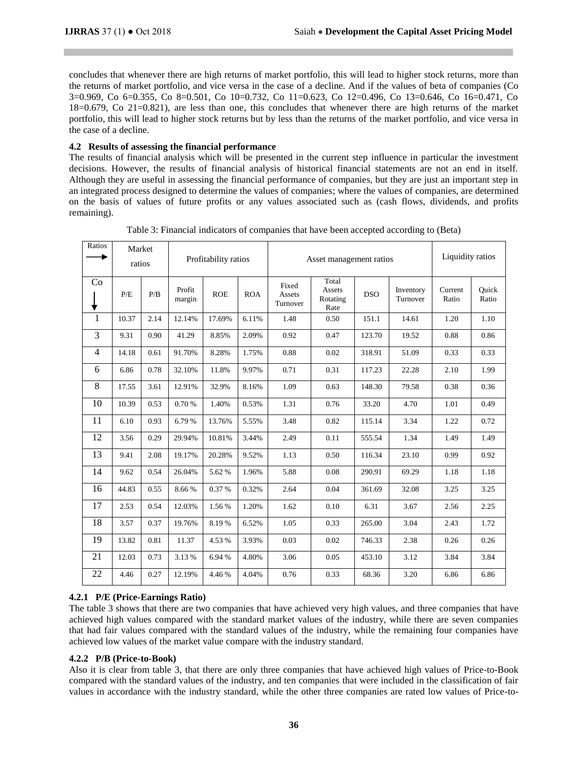concludes that whenever there are high returns of market portfolio, this will lead to higher stock returns, more than the returns of market portfolio, and vice versa in the case of a decline. And if the values of beta of companies (Co 3=0.969, Co 6=0.355, Co 8=0.501, Co 10=0.732, Co 11=0.623, Co 12=0.496, Co 13=0.646, Co 16=0.471, Co 18=0.679, Co 21=0.821), are less than one, this concludes that whenever there are high returns of the market portfolio, this will lead to higher stock returns but by less than the returns of the market portfolio, and vice versa in the case of a decline.

# **4.2 Results of assessing the financial performance**

The results of financial analysis which will be presented in the current step influence in particular the investment decisions. However, the results of financial analysis of historical financial statements are not an end in itself. Although they are useful in assessing the financial performance of companies, but they are just an important step in an integrated process designed to determine the values of companies; where the values of companies, are determined on the basis of values of future profits or any values associated such as (cash flows, dividends, and profits remaining).

| Ratios | Market<br>ratios |      |                  | Profitability ratios |            | Asset management ratios     | Liquidity ratios                    |            |                       |                  |                |
|--------|------------------|------|------------------|----------------------|------------|-----------------------------|-------------------------------------|------------|-----------------------|------------------|----------------|
| Co     | P/E              | P/B  | Profit<br>margin | <b>ROE</b>           | <b>ROA</b> | Fixed<br>Assets<br>Turnover | Total<br>Assets<br>Rotating<br>Rate | <b>DSO</b> | Inventory<br>Turnover | Current<br>Ratio | Ouick<br>Ratio |
| 1      | 10.37            | 2.14 | 12.14%           | 17.69%               | 6.11%      | 1.48                        | 0.50                                | 151.1      | 14.61                 | 1.20             | 1.10           |
| 3      | 9.31             | 0.90 | 41.29            | 8.85%                | 2.09%      | 0.92                        | 0.47                                | 123.70     | 19.52                 | 0.88             | 0.86           |
| 4      | 14.18            | 0.61 | 91.70%           | 8.28%                | 1.75%      | 0.88                        | 0.02                                | 318.91     | 51.09                 | 0.33             | 0.33           |
| 6      | 6.86             | 0.78 | 32.10%           | 11.8%                | 9.97%      | 0.71                        | 0.31                                | 117.23     | 22.28                 | 2.10             | 1.99           |
| 8      | 17.55            | 3.61 | 12.91%           | 32.9%                | 8.16%      | 1.09                        | 0.63                                | 148.30     | 79.58                 | 0.38             | 0.36           |
| 10     | 10.39            | 0.53 | 0.70%            | 1.40%                | 0.53%      | 1.31                        | 0.76                                | 33.20      | 4.70                  | 1.01             | 0.49           |
| 11     | 6.10             | 0.93 | 6.79 %           | 13.76%               | 5.55%      | 3.48                        | 0.82                                | 115.14     | 3.34                  | 1.22             | 0.72           |
| 12     | 3.56             | 0.29 | 29.94%           | 10.81%               | 3.44%      | 2.49                        | 0.11                                | 555.54     | 1.34                  | 1.49             | 1.49           |
| 13     | 9.41             | 2.08 | 19.17%           | 20.28%               | 9.52%      | 1.13                        | 0.50                                | 116.34     | 23.10                 | 0.99             | 0.92           |
| 14     | 9.62             | 0.54 | 26.04%           | 5.62 %               | 1.96%      | 5.88                        | 0.08                                | 290.91     | 69.29                 | 1.18             | 1.18           |
| 16     | 44.83            | 0.55 | 8.66%            | 0.37%                | 0.32%      | 2.64                        | 0.04                                | 361.69     | 32.08                 | 3.25             | 3.25           |
| 17     | 2.53             | 0.54 | 12.03%           | 1.56 %               | 1.20%      | 1.62                        | 0.10                                | 6.31       | 3.67                  | 2.56             | 2.25           |
| 18     | 3.57             | 0.37 | 19.76%           | 8.19%                | 6.52%      | 1.05                        | 0.33                                | 265.00     | 3.04                  | 2.43             | 1.72           |
| 19     | 13.82            | 0.81 | 11.37            | 4.53 %               | 3.93%      | 0.03                        | 0.02                                | 746.33     | 2.38                  | 0.26             | 0.26           |
| 21     | 12.03            | 0.73 | 3.13 %           | 6.94 %               | 4.80%      | 3.06                        | 0.05                                | 453.10     | 3.12                  | 3.84             | 3.84           |
| 22     | 4.46             | 0.27 | 12.19%           | 4.46%                | 4.04%      | 0.76                        | 0.33                                | 68.36      | 3.20                  | 6.86             | 6.86           |

Table 3: Financial indicators of companies that have been accepted according to (Beta)

# **4.2.1 P/E (Price-Earnings Ratio)**

The table 3 shows that there are two companies that have achieved very high values, and three companies that have achieved high values compared with the standard market values of the industry, while there are seven companies that had fair values compared with the standard values of the industry, while the remaining four companies have achieved low values of the market value compare with the industry standard.

# **4.2.2 P/B (Price-to-Book)**

Also it is clear from table 3, that there are only three companies that have achieved high values of Price-to-Book compared with the standard values of the industry, and ten companies that were included in the classification of fair values in accordance with the industry standard, while the other three companies are rated low values of Price-to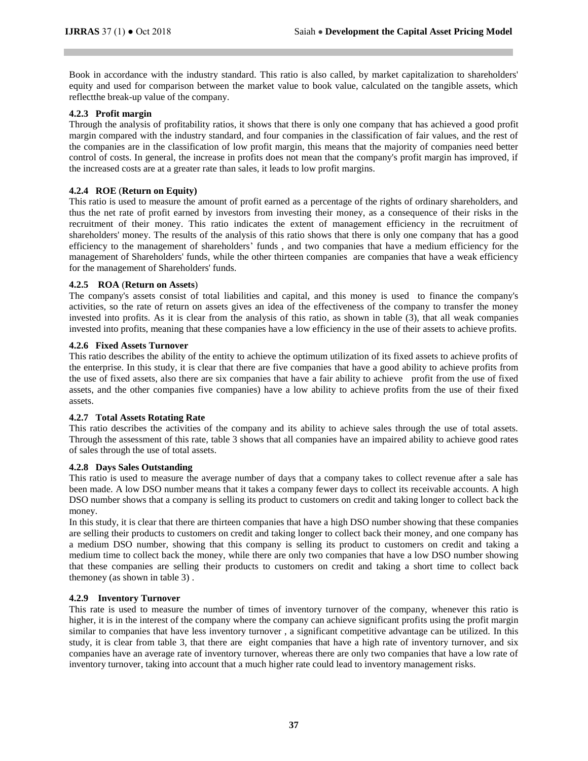Book in accordance with the industry standard. This ratio is also called, by market capitalization to shareholders' equity and used for comparison between the market value to book value, calculated on the tangible assets, which reflectthe break-up value of the company.

# **4.2.3 Profit margin**

Through the analysis of profitability ratios, it shows that there is only one company that has achieved a good profit margin compared with the industry standard, and four companies in the classification of fair values, and the rest of the companies are in the classification of low profit margin, this means that the majority of companies need better control of costs. In general, the increase in profits does not mean that the company's profit margin has improved, if the increased costs are at a greater rate than sales, it leads to low profit margins.

# **4.2.4 ROE** (**Return on Equity)**

This ratio is used to measure the amount of profit earned as a percentage of the rights of ordinary shareholders, and thus the net rate of profit earned by investors from investing their money, as a consequence of their risks in the recruitment of their money. This ratio indicates the extent of management efficiency in the recruitment of shareholders' money. The results of the analysis of this ratio shows that there is only one company that has a good efficiency to the management of shareholders' funds , and two companies that have a medium efficiency for the management of Shareholders' funds, while the other thirteen companies are companies that have a weak efficiency for the management of Shareholders' funds.

# **4.2.5 ROA** (**Return on Assets**)

The company's assets consist of total liabilities and capital, and this money is used to finance the company's activities, so the rate of return on assets gives an idea of the effectiveness of the company to transfer the money invested into profits. As it is clear from the analysis of this ratio, as shown in table (3), that all weak companies invested into profits, meaning that these companies have a low efficiency in the use of their assets to achieve profits.

# **4.2.6 Fixed Assets Turnover**

This ratio describes the ability of the entity to achieve the optimum utilization of its fixed assets to achieve profits of the enterprise. In this study, it is clear that there are five companies that have a good ability to achieve profits from the use of fixed assets, also there are six companies that have a fair ability to achieve profit from the use of fixed assets, and the other companies five companies) have a low ability to achieve profits from the use of their fixed assets.

## **4.2.7 Total Assets Rotating Rate**

This ratio describes the activities of the company and its ability to achieve sales through the use of total assets. Through the assessment of this rate, table 3 shows that all companies have an impaired ability to achieve good rates of sales through the use of total assets.

# **4.2.8 Days Sales Outstanding**

This ratio is used to measure the average number of days that a company takes to collect revenue after a sale has been made. A low DSO number means that it takes a company fewer days to collect its receivable accounts. A high DSO number shows that a company is selling its product to customers on credit and taking longer to collect back the money.

In this study, it is clear that there are thirteen companies that have a high DSO number showing that these companies are selling their products to customers on credit and taking longer to collect back their money, and one company has a medium DSO number, showing that this company is selling its product to customers on credit and taking a medium time to collect back the money, while there are only two companies that have a low DSO number showing that these companies are selling their products to customers on credit and taking a short time to collect back themoney (as shown in table 3) .

## **4.2.9 Inventory Turnover**

This rate is used to measure the number of times of inventory turnover of the company, whenever this ratio is higher, it is in the interest of the company where the company can achieve significant profits using the profit margin similar to companies that have less inventory turnover , a significant competitive advantage can be utilized. In this study, it is clear from table 3, that there are eight companies that have a high rate of inventory turnover, and six companies have an average rate of inventory turnover, whereas there are only two companies that have a low rate of inventory turnover, taking into account that a much higher rate could lead to inventory management risks.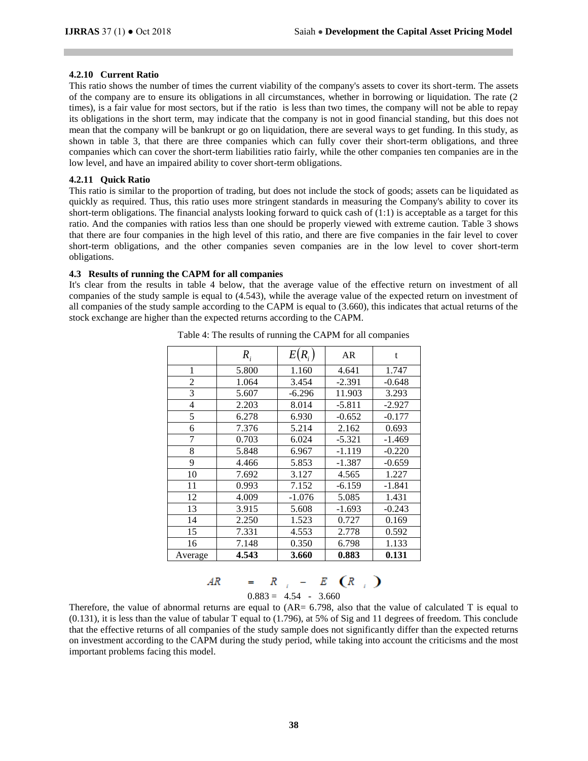## **4.2.10 Current Ratio**

This ratio shows the number of times the current viability of the company's assets to cover its short-term. The assets of the company are to ensure its obligations in all circumstances, whether in borrowing or liquidation. The rate (2 times), is a fair value for most sectors, but if the ratio is less than two times, the company will not be able to repay its obligations in the short term, may indicate that the company is not in good financial standing, but this does not mean that the company will be bankrupt or go on liquidation, there are several ways to get funding. In this study, as shown in table 3, that there are three companies which can fully cover their short-term obligations, and three companies which can cover the short-term liabilities ratio fairly, while the other companies ten companies are in the low level, and have an impaired ability to cover short-term obligations.

### **4.2.11 Quick Ratio**

This ratio is similar to the proportion of trading, but does not include the stock of goods; assets can be liquidated as quickly as required. Thus, this ratio uses more stringent standards in measuring the Company's ability to cover its short-term obligations. The financial analysts looking forward to quick cash of  $(1:1)$  is acceptable as a target for this ratio. And the companies with ratios less than one should be properly viewed with extreme caution. Table 3 shows that there are four companies in the high level of this ratio, and there are five companies in the fair level to cover short-term obligations, and the other companies seven companies are in the low level to cover short-term obligations.

#### **4.3 Results of running the CAPM for all companies**

It's clear from the results in table 4 below, that the average value of the effective return on investment of all companies of the study sample is equal to (4.543), while the average value of the expected return on investment of all companies of the study sample according to the CAPM is equal to (3.660), this indicates that actual returns of the stock exchange are higher than the expected returns according to the CAPM.

|                | $R_i$ | $E(R_i)$ | AR       | t        |
|----------------|-------|----------|----------|----------|
| 1              | 5.800 | 1.160    | 4.641    | 1.747    |
| 2              | 1.064 | 3.454    | $-2.391$ | $-0.648$ |
| 3              | 5.607 | $-6.296$ | 11.903   | 3.293    |
| $\overline{4}$ | 2.203 | 8.014    | $-5.811$ | $-2.927$ |
| 5              | 6.278 | 6.930    | $-0.652$ | $-0.177$ |
| 6              | 7.376 | 5.214    | 2.162    | 0.693    |
| 7              | 0.703 | 6.024    | $-5.321$ | $-1.469$ |
| 8              | 5.848 | 6.967    | $-1.119$ | $-0.220$ |
| 9              | 4.466 | 5.853    | -1.387   | $-0.659$ |
| 10             | 7.692 | 3.127    | 4.565    | 1.227    |
| 11             | 0.993 | 7.152    | $-6.159$ | -1.841   |
| 12             | 4.009 | $-1.076$ | 5.085    | 1.431    |
| 13             | 3.915 | 5.608    | $-1.693$ | $-0.243$ |
| 14             | 2.250 | 1.523    | 0.727    | 0.169    |
| 15             | 7.331 | 4.553    | 2.778    | 0.592    |
| 16             | 7.148 | 0.350    | 6.798    | 1.133    |
| Average        | 4.543 | 3.660    | 0.883    | 0.131    |

Table 4: The results of running the CAPM for all companies

| AR | - 1 | <b>Contract Contract State</b> |  | $E$ $(R_{i})$ |  |
|----|-----|--------------------------------|--|---------------|--|
|    |     | $0.883 = 4.54 - 3.660$         |  |               |  |

Therefore, the value of abnormal returns are equal to (AR= 6.798, also that the value of calculated T is equal to (0.131), it is less than the value of tabular T equal to (1.796), at 5% of Sig and 11 degrees of freedom. This conclude that the effective returns of all companies of the study sample does not significantly differ than the expected returns on investment according to the CAPM during the study period, while taking into account the criticisms and the most important problems facing this model.